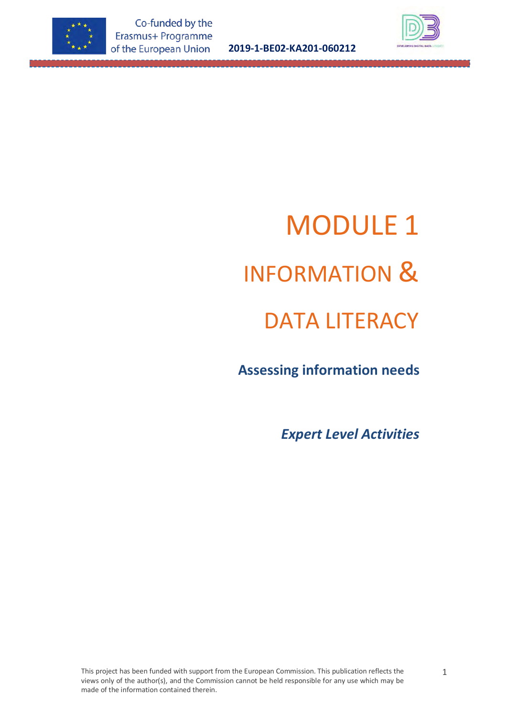

**2019-1-BE02-KA201-060212**



# MODULE 1 INFORMATION & DATA LITERACY

# **Assessing information needs**

*Expert Level Activities*

This project has been funded with support from the European Commission. This publication reflects the views only of the author(s), and the Commission cannot be held responsible for any use which may be made of the information contained therein.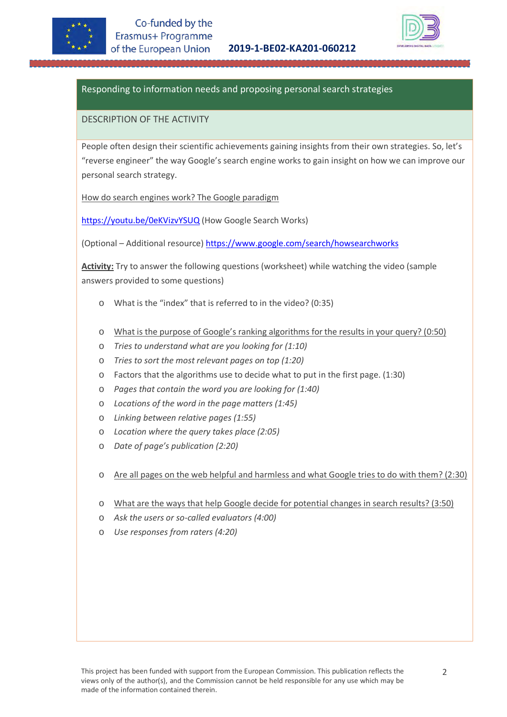



# Responding to information needs and proposing personal search strategies

#### DESCRIPTION OF THE ACTIVITY

People often design their scientific achievements gaining insights from their own strategies. So, let's "reverse engineer" the way Google's search engine works to gain insight on how we can improve our personal search strategy.

How do search engines work? The Google paradigm

<https://youtu.be/0eKVizvYSUQ> (How Google Search Works)

(Optional – Additional resource[\) https://www.google.com/search/howsearchworks](https://www.google.com/search/howsearchworks/) 

**Activity:** Try to answer the following questions (worksheet) while watching the video (sample answers provided to some questions)

- o What is the "index" that is referred to in the video? (0:35)
- o What is the purpose of Google's ranking algorithms for the results in your query? (0:50)
- o *Tries to understand what are you looking for (1:10)*
- o *Tries to sort the most relevant pages on top (1:20)*
- o Factors that the algorithms use to decide what to put in the first page. (1:30)
- o *Pages that contain the word you are looking for (1:40)*
- o *Locations of the word in the page matters (1:45)*
- o *Linking between relative pages (1:55)*
- o *Location where the query takes place (2:05)*
- o *Date of page's publication (2:20)*
- o Are all pages on the web helpful and harmless and what Google tries to do with them? (2:30)
- o What are the ways that help Google decide for potential changes in search results? (3:50)
- o *Ask the users or so-called evaluators (4:00)*
- Use responses from raters (4:20)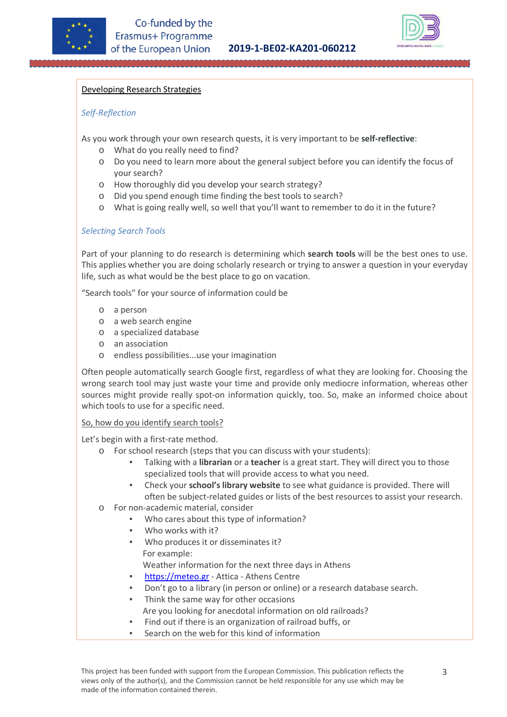



#### Developing Research Strategies

#### *Self-Reflection*

As you work through your own research quests, it is very important to be **self-reflective**:

- o What do you really need to find?
- o Do you need to learn more about the general subject before you can identify the focus of your search?
- o How thoroughly did you develop your search strategy?
- o Did you spend enough time finding the best tools to search?
- o What is going really well, so well that you'll want to remember to do it in the future?

# *Selecting Search Tools*

Part of your planning to do research is determining which **search tools** will be the best ones to use. This applies whether you are doing scholarly research or trying to answer a question in your everyday life, such as what would be the best place to go on vacation.

"Search tools" for your source of information could be

- o a person
- o a web search engine
- o a specialized database
- o an association
- o endless possibilities...use your imagination

Often people automatically search Google first, regardless of what they are looking for. Choosing the wrong search tool may just waste your time and provide only mediocre information, whereas other sources might provide really spot-on information quickly, too. So, make an informed choice about which tools to use for a specific need.

#### So, how do you identify search tools?

Let's begin with a first-rate method.

- o For school research (steps that you can discuss with your students):
	- Talking with a **librarian** or a **teacher** is a great start. They will direct you to those specialized tools that will provide access to what you need.
	- Check your **school's library website** to see what guidance is provided. There will often be subject-related guides or lists of the best resources to assist your research.
- o For non-academic material, consider
	- Who cares about this type of information?
	- Who works with it?
	- Who produces it or disseminates it? For example:

Weather information for the next three days in Athens

- **[https://meteo.gr](https://meteo.gr/)  Attica Athens Centre**
- Don't go to a library (in person or online) or a research database search.
- Think the same way for other occasions Are you looking for anecdotal information on old railroads?
- Find out if there is an organization of railroad buffs, or
- Search on the web for this kind of information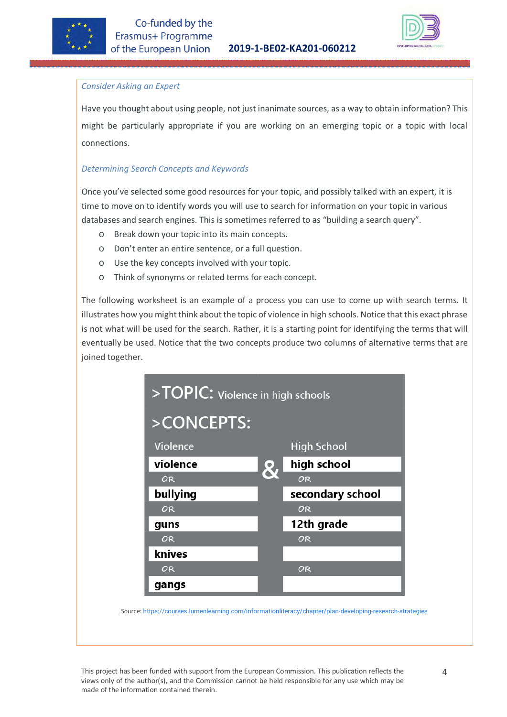



#### *Consider Asking an Expert*

Have you thought about using people, not just inanimate sources, as a way to obtain information? This might be particularly appropriate if you are working on an emerging topic or a topic with local connections.

#### *Determining Search Concepts and Keywords*

Once you've selected some good resources for your topic, and possibly talked with an expert, it is time to move on to identify words you will use to search for information on your topic in various databases and search engines. This is sometimes referred to as "building a search query".

- o Break down your topic into its main concepts.
- o Don't enter an entire sentence, or a full question.
- o Use the key concepts involved with your topic.
- o Think of synonyms or related terms for each concept.

The following worksheet is an example of a process you can use to come up with search terms. It illustrates how you might think about the topic of violence in high schools. Notice that this exact phrase is not what will be used for the search. Rather, it is a starting point for identifying the terms that will eventually be used. Notice that the two concepts produce two columns of alternative terms that are joined together.



Source: [https://courses.lumenlearning.com/informationliteracy/chapter/plan-developing-research-strategies](https://courses.lumenlearning.com/informationliteracy/chapter/plan-developing-research-strategies/)

This project has been funded with support from the European Commission. This publication reflects the views only of the author(s), and the Commission cannot be held responsible for any use which may be made of the information contained therein.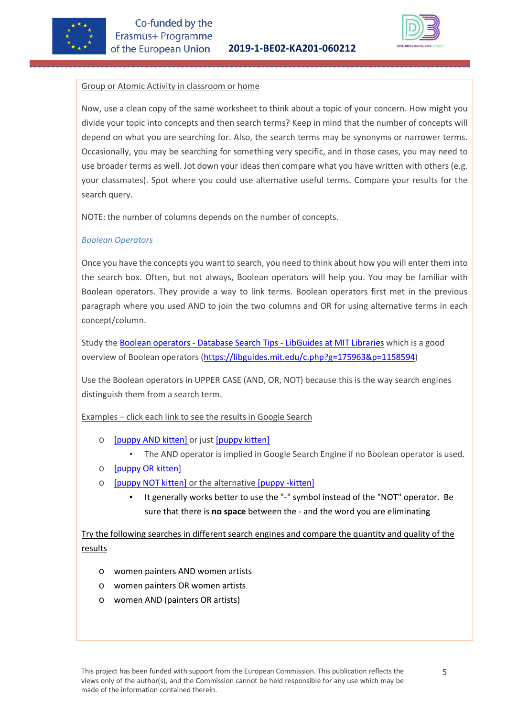



#### Group or Atomic Activity in classroom or home

Now, use a clean copy of the same worksheet to think about a topic of your concern. How might you divide your topic into concepts and then search terms? Keep in mind that the number of concepts will depend on what you are searching for. Also, the search terms may be synonyms or narrower terms. Occasionally, you may be searching for something very specific, and in those cases, you may need to use broader terms as well. Jot down your ideas then compare what you have written with others (e.g. your classmates). Spot where you could use alternative useful terms. Compare your results for the search query.

NOTE: the number of columns depends on the number of concepts.

#### *Boolean Operators*

Once you have the concepts you want to search, you need to think about how you will enter them into the search box. Often, but not always, Boolean operators will help you. You may be familiar with Boolean operators. They provide a way to link terms. Boolean operators first met in the previous paragraph where you used AND to join the two columns and OR for using alternative terms in each concept/column.

Study the [Boolean operators - Database Search Tips - LibGuides at MIT Libraries](https://libguides.mit.edu/c.php?g=175963&p=1158594) which is a good overview of Boolean operators [\(https://libguides.mit.edu/c.php?g=175963&p=1158594\)](https://libguides.mit.edu/c.php?g=175963&p=1158594)

Use the Boolean operators in UPPER CASE (AND, OR, NOT) because this is the way search engines distinguish them from a search term.

Examples – click each link to see the results in Google Search

- o [\[puppy AND kitten\]](https://www.google.com/search?q=puppy+AND+kitten) or just [\[puppy kitten\]](https://www.google.com/search?q=puppy+kitten)
	- The AND operator is implied in Google Search Engine if no Boolean operator is used.
- o [\[puppy OR kitten\]](https://www.google.com/search?q=puppy+OR+kitten)
- o [\[puppy NOT kitten\]](https://www.google.com/search?q=puppy+NOT+kitten) or the alternativ[e \[puppy -kitten\]](https://www.google.com/search?q=puppy+-kitten)
	- It generally works better to use the "-" symbol instead of the "NOT" operator. Be sure that there is **no space** between the - and the word you are eliminating

Try the following searches in different search engines and compare the quantity and quality of the results

- o women painters AND women artists
- o women painters OR women artists
- o women AND (painters OR artists)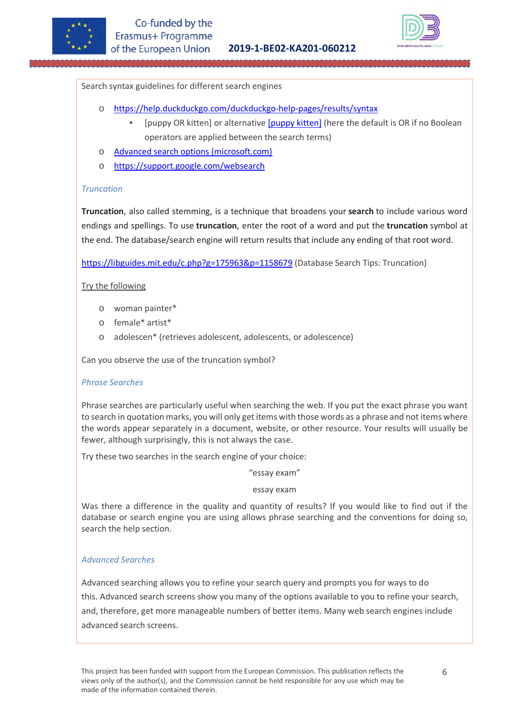



#### Search syntax guidelines for different search engines

- o [https://help.duckduckgo.com/duckduckgo-help-pages/results/syntax](https://help.duckduckgo.com/duckduckgo-help-pages/results/syntax/) 
	- [puppy OR kitten] or alternative [\[puppy kitten\]](https://duckduckgo.com/?q=puppy+kitten) (here the default is OR if no Boolean operators are applied between the search terms)
- o [Advanced search options \(microsoft.com\)](https://help.bing.microsoft.com/apex/index/18/en-US/10002)
- o [https://support.google.com/websearch](https://support.google.com/websearch/)

#### *Truncation*

**Truncation**, also called stemming, is a technique that broadens your **search** to include various word endings and spellings. To use **truncation**, enter the root of a word and put the **truncation** symbol at the end. The database/search engine will return results that include any ending of that root word.

<https://libguides.mit.edu/c.php?g=175963&p=1158679> (Database Search Tips: Truncation)

#### Try the following

- o woman painter\*
- o female\* artist\*
- o adolescen\* (retrieves adolescent, adolescents, or adolescence)

Can you observe the use of the truncation symbol?

#### *Phrase Searches*

Phrase searches are particularly useful when searching the web. If you put the exact phrase you want to search in quotation marks, you will only get items with those words as a phrase and not items where the words appear separately in a document, website, or other resource. Your results will usually be fewer, although surprisingly, this is not always the case.

Try these two searches in the search engine of your choice:

"essay exam"

#### essay exam

Was there a difference in the quality and quantity of results? If you would like to find out if the database or search engine you are using allows phrase searching and the conventions for doing so, search the help section.

#### *Advanced Searches*

Advanced searching allows you to refine your search query and prompts you for ways to do this. Advanced search screens show you many of the options available to you to refine your search, and, therefore, get more manageable numbers of better items. Many web search engines include advanced search screens.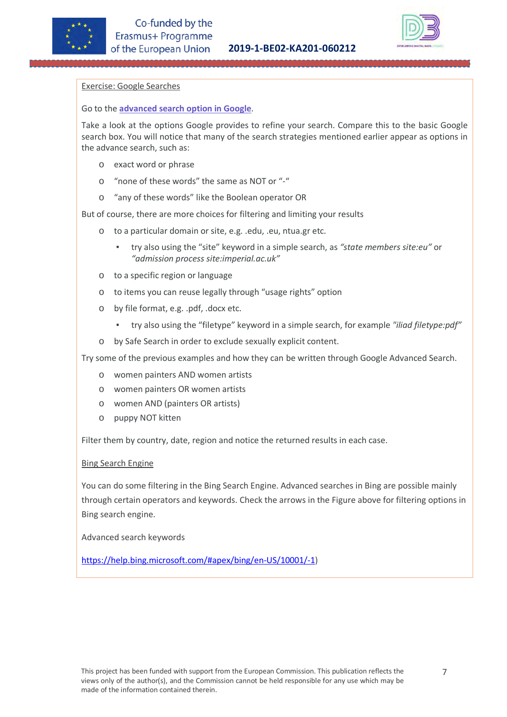



#### Exercise: Google Searches

#### Go to the **[advanced search option in Google](http://www.google.com/advanced_search)**.

Take a look at the options Google provides to refine your search. Compare this to the basic Google search box. You will notice that many of the search strategies mentioned earlier appear as options in the advance search, such as:

- o exact word or phrase
- o "none of these words" the same as NOT or "-"
- o "any of these words" like the Boolean operator OR

But of course, there are more choices for filtering and limiting your results

- o to a particular domain or site, e.g. .edu, .eu, ntua.gr etc.
	- try also using the "site" keyword in a simple search, as *"state members site:eu"* or *"admission process site:imperial.ac.uk"*
- o to a specific region or language
- o to items you can reuse legally through "usage rights" option
- o by file format, e.g. .pdf, .docx etc.
	- try also using the "filetype" keyword in a simple search, for example *"iliad filetype:pdf"*
- o by Safe Search in order to exclude sexually explicit content.

Try some of the previous examples and how they can be written through Google Advanced Search.

- o women painters AND women artists
- o women painters OR women artists
- o women AND (painters OR artists)
- o puppy NOT kitten

Filter them by country, date, region and notice the returned results in each case.

#### Bing Search Engine

You can do some filtering in the Bing Search Engine. Advanced searches in Bing are possible mainly through certain operators and keywords. Check the arrows in the Figure above for filtering options in Bing search engine.

Advanced search keywords

[https://help.bing.microsoft.com/#apex/bing/en-US/10001/-1\)](https://help.bing.microsoft.com/#apex/bing/en-US/10001/-1)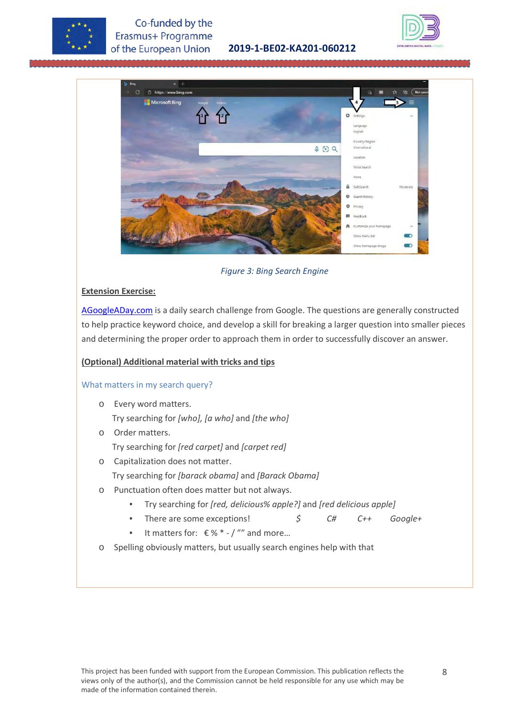

# Co-funded by the Erasmus+ Programme of the European Union

**2019-1-BE02-KA201-060212**





*Figure 3: Bing Search Engine*

# **Extension Exercise:**

[AGoogleADay.com](http://agoogleaday.com/) is a daily search challenge from Google. The questions are generally constructed to help practice keyword choice, and develop a skill for breaking a larger question into smaller pieces and determining the proper order to approach them in order to successfully discover an answer.

### **(Optional) Additional material with tricks and tips**

#### What matters in my search query?

- o Every word matters. Try searching for *[who], [a who]* and *[the who]*
- o Order matters.
	- Try searching for *[red carpet]* and *[carpet red]*
- o Capitalization does not matter.
	- Try searching for *[barack obama]* and *[Barack Obama]*
- o Punctuation often does matter but not always.
	- Try searching for *[red, delicious% apple?]* and *[red delicious apple]*
	- There are some exceptions! *\$ C# C++ Google+*
	- It matters for:  $€$ %  $*$  / "" and more...
- o Spelling obviously matters, but usually search engines help with that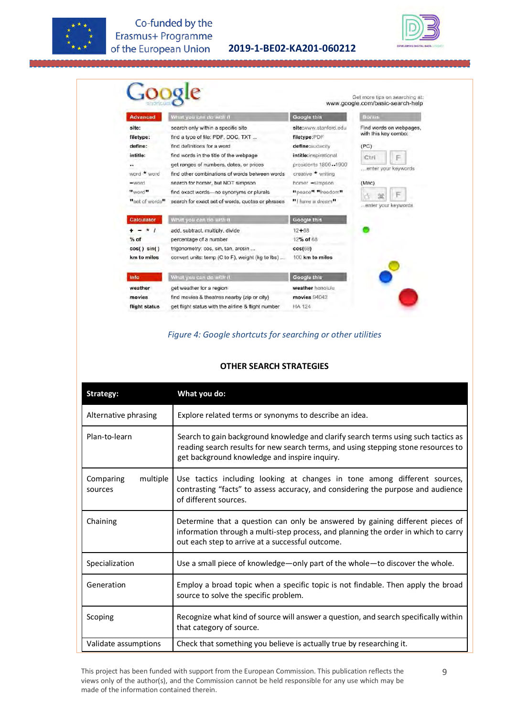

Co-funded by the Erasmus+ Programme of the European Union

**2019-1-BE02-KA201-060212**



| site:<br>search only within a specific site<br>site:www.stanford.edu<br>with this key combo:<br>find a type of file: PDF, DOC, TXT<br>filetype:PDF<br>filetype:<br>define:<br>find definitions for a word<br>(PC)<br>define:audacity<br>intitle:<br>intitle:inspirational<br>find words in the title of the webpage<br>Ctrl<br>F<br>get ranges of numbers, dates, or prices<br>presidents 1800.1900<br><br>enter your keywords<br>word * word<br>creative * writing<br>find other combinations of words between words.<br>search for homer, but NOT simpson<br>homer -simpson<br>(Mac)<br>-word<br>** word**<br>"peace" "freedom"<br>find exact words- no synonyms or plurals<br>F<br>98<br>search for exact set of words, quotes or phrases<br>"I have a dream"<br>. enter your keywords<br>What you can do with it.<br>Google this<br>12+68<br>$\star$<br>add, subtract, multiply, divide<br>percentage of a number<br>12% of 68<br>trigonometry: cos, sin, tan, arcsin<br>cos(68)<br>100 km to miles<br>convert units: temp (C to F), weight (kg to lbs)<br>What you can do with it.<br><b>Google this</b><br>Info | <b>Advanced</b>                      | What you can do with it                            | <b>Google this</b> | Bonus                   |
|-----------------------------------------------------------------------------------------------------------------------------------------------------------------------------------------------------------------------------------------------------------------------------------------------------------------------------------------------------------------------------------------------------------------------------------------------------------------------------------------------------------------------------------------------------------------------------------------------------------------------------------------------------------------------------------------------------------------------------------------------------------------------------------------------------------------------------------------------------------------------------------------------------------------------------------------------------------------------------------------------------------------------------------------------------------------------------------------------------------------------|--------------------------------------|----------------------------------------------------|--------------------|-------------------------|
|                                                                                                                                                                                                                                                                                                                                                                                                                                                                                                                                                                                                                                                                                                                                                                                                                                                                                                                                                                                                                                                                                                                       |                                      |                                                    |                    | Find words on webpages. |
|                                                                                                                                                                                                                                                                                                                                                                                                                                                                                                                                                                                                                                                                                                                                                                                                                                                                                                                                                                                                                                                                                                                       | "set of words"<br><b>Calculator</b>  |                                                    |                    |                         |
|                                                                                                                                                                                                                                                                                                                                                                                                                                                                                                                                                                                                                                                                                                                                                                                                                                                                                                                                                                                                                                                                                                                       | $%$ of<br>cos() sin()<br>km to miles |                                                    |                    |                         |
|                                                                                                                                                                                                                                                                                                                                                                                                                                                                                                                                                                                                                                                                                                                                                                                                                                                                                                                                                                                                                                                                                                                       |                                      |                                                    |                    |                         |
|                                                                                                                                                                                                                                                                                                                                                                                                                                                                                                                                                                                                                                                                                                                                                                                                                                                                                                                                                                                                                                                                                                                       | <i>movies</i>                        | find movies & theatres nearby (zip or city)        | movies 94043       |                         |
|                                                                                                                                                                                                                                                                                                                                                                                                                                                                                                                                                                                                                                                                                                                                                                                                                                                                                                                                                                                                                                                                                                                       | flight status                        | get flight status with the airline & flight number | <b>HA 124</b>      |                         |

# *Figure 4: Google shortcuts for searching or other utilities*

#### **OTHER SEARCH STRATEGIES**

| <b>Strategy:</b>                 | What you do:                                                                                                                                                                                                              |  |  |
|----------------------------------|---------------------------------------------------------------------------------------------------------------------------------------------------------------------------------------------------------------------------|--|--|
| Alternative phrasing             | Explore related terms or synonyms to describe an idea.                                                                                                                                                                    |  |  |
| Plan-to-learn                    | Search to gain background knowledge and clarify search terms using such tactics as<br>reading search results for new search terms, and using stepping stone resources to<br>get background knowledge and inspire inquiry. |  |  |
| multiple<br>Comparing<br>sources | Use tactics including looking at changes in tone among different sources,<br>contrasting "facts" to assess accuracy, and considering the purpose and audience<br>of different sources.                                    |  |  |
| Chaining                         | Determine that a question can only be answered by gaining different pieces of<br>information through a multi-step process, and planning the order in which to carry<br>out each step to arrive at a successful outcome.   |  |  |
| Specialization                   | Use a small piece of knowledge-only part of the whole-to discover the whole.                                                                                                                                              |  |  |
| Generation                       | Employ a broad topic when a specific topic is not findable. Then apply the broad<br>source to solve the specific problem.                                                                                                 |  |  |
| Scoping                          | Recognize what kind of source will answer a question, and search specifically within<br>that category of source.                                                                                                          |  |  |
| Validate assumptions             | Check that something you believe is actually true by researching it.                                                                                                                                                      |  |  |

This project has been funded with support from the European Commission. This publication reflects the views only of the author(s), and the Commission cannot be held responsible for any use which may be made of the information contained therein.